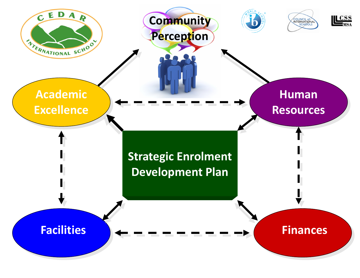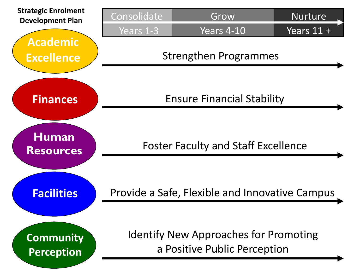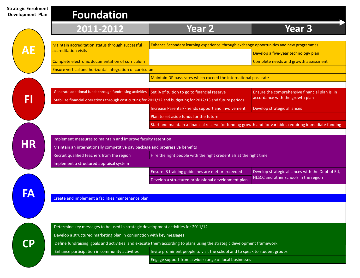**Strategic Developr** 

| ategic Enrolment<br>velopment Plan | <b>Foundation</b>                                                                                                           |                                                                                                              |                                                                                  |
|------------------------------------|-----------------------------------------------------------------------------------------------------------------------------|--------------------------------------------------------------------------------------------------------------|----------------------------------------------------------------------------------|
|                                    | 2011-2012                                                                                                                   | <b>Year 2</b>                                                                                                | <b>Year 3</b>                                                                    |
|                                    | Maintain accreditation status through successful                                                                            | Enhance Secondary learning experience through exchange opportunities and new programmes                      |                                                                                  |
|                                    | accreditation visits                                                                                                        |                                                                                                              | Develop a five-year technology plan                                              |
|                                    | Complete electronic documentation of curriculum                                                                             |                                                                                                              | Complete needs and growth assessment                                             |
|                                    | Ensure vertical and horizontal integration of curriculum                                                                    |                                                                                                              |                                                                                  |
|                                    |                                                                                                                             | Maintain DP pass rates which exceed the international pass rate                                              |                                                                                  |
|                                    | Generate additional funds through fundraising activities Set % of tuition to go to financial reserve                        | Stabilize financial operations through cost cutting for 2011/12 and budgeting for 2012/13 and future periods | Ensure the comprehensive financial plan is in<br>accordance with the growth plan |
|                                    |                                                                                                                             | Increase Parental/Friends support and involvement                                                            | Develop strategic alliances                                                      |
|                                    |                                                                                                                             | Plan to set aside funds for the future                                                                       |                                                                                  |
|                                    |                                                                                                                             | Start and maintain a financial reserve for funding growth and for variables requiring immediate funding      |                                                                                  |
| <b>HR</b>                          | Implement measures to maintain and improve faculty retention                                                                |                                                                                                              |                                                                                  |
|                                    | Maintain an internationally competitive pay package and progressive benefits                                                |                                                                                                              |                                                                                  |
|                                    | Recruit qualified teachers from the region<br>Hire the right people with the right credentials at the right time            |                                                                                                              |                                                                                  |
|                                    | Implement a structured appraisal system                                                                                     |                                                                                                              |                                                                                  |
|                                    |                                                                                                                             | Ensure IB training guidelines are met or exceeded                                                            | Develop strategic alliances with the Dept of Ed,                                 |
|                                    |                                                                                                                             | Develop a structured professional development plan                                                           | HLSCC and other schools in the region                                            |
|                                    |                                                                                                                             |                                                                                                              |                                                                                  |
|                                    | Create and implement a facilities maintenance plan                                                                          |                                                                                                              |                                                                                  |
|                                    |                                                                                                                             |                                                                                                              |                                                                                  |
|                                    |                                                                                                                             |                                                                                                              |                                                                                  |
|                                    | Determine key messages to be used in strategic development activities for 2011/12                                           |                                                                                                              |                                                                                  |
|                                    | Develop a structured marketing plan in conjunction with key messages                                                        |                                                                                                              |                                                                                  |
| $\mathbf P$                        | Define fundraising goals and activities and execute them according to plans using the strategic development framework       |                                                                                                              |                                                                                  |
|                                    | Enhance participation in community activities<br>Invite prominent people to visit the school and to speak to student groups |                                                                                                              |                                                                                  |
|                                    |                                                                                                                             | Engage support from a wider range of local businesses                                                        |                                                                                  |